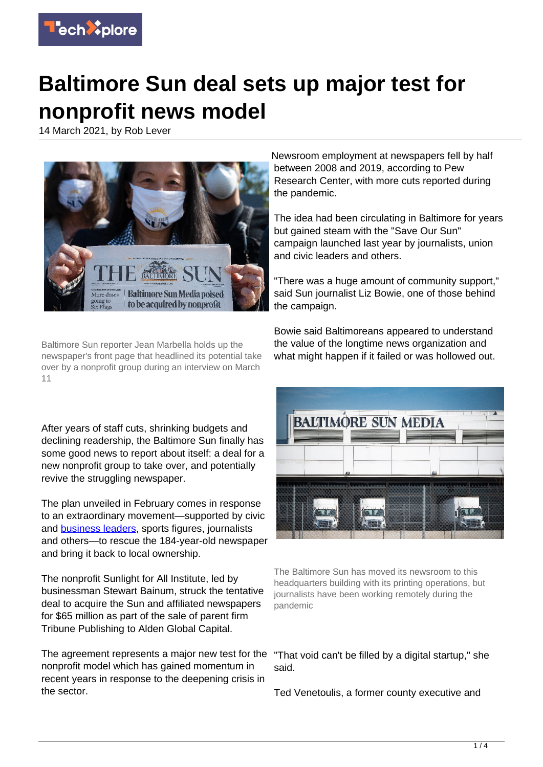

## **Baltimore Sun deal sets up major test for nonprofit news model**

14 March 2021, by Rob Lever



Baltimore Sun reporter Jean Marbella holds up the newspaper's front page that headlined its potential take over by a nonprofit group during an interview on March 11

After years of staff cuts, shrinking budgets and declining readership, the Baltimore Sun finally has some good news to report about itself: a deal for a new nonprofit group to take over, and potentially revive the struggling newspaper.

The plan unveiled in February comes in response to an extraordinary movement—supported by civic and **[business leaders](https://techxplore.com/tags/business+leaders/)**, sports figures, journalists and others—to rescue the 184-year-old newspaper and bring it back to local ownership.

The nonprofit Sunlight for All Institute, led by businessman Stewart Bainum, struck the tentative deal to acquire the Sun and affiliated newspapers for \$65 million as part of the sale of parent firm Tribune Publishing to Alden Global Capital.

The agreement represents a major new test for the nonprofit model which has gained momentum in recent years in response to the deepening crisis in the sector.

Newsroom employment at newspapers fell by half between 2008 and 2019, according to Pew Research Center, with more cuts reported during the pandemic.

The idea had been circulating in Baltimore for years but gained steam with the "Save Our Sun" campaign launched last year by journalists, union and civic leaders and others.

"There was a huge amount of community support," said Sun journalist Liz Bowie, one of those behind the campaign.

Bowie said Baltimoreans appeared to understand the value of the longtime news organization and what might happen if it failed or was hollowed out.



The Baltimore Sun has moved its newsroom to this headquarters building with its printing operations, but journalists have been working remotely during the pandemic

"That void can't be filled by a digital startup," she said.

Ted Venetoulis, a former county executive and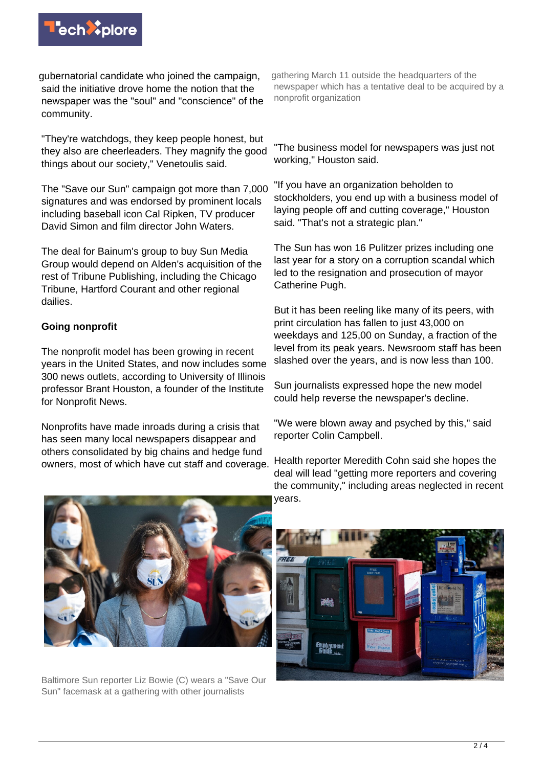

gubernatorial candidate who joined the campaign, said the initiative drove home the notion that the newspaper was the "soul" and "conscience" of the community.

"They're watchdogs, they keep people honest, but they also are cheerleaders. They magnify the good things about our society," Venetoulis said.

The "Save our Sun" campaign got more than 7,000 signatures and was endorsed by prominent locals including baseball icon Cal Ripken, TV producer David Simon and film director John Waters.

The deal for Bainum's group to buy Sun Media Group would depend on Alden's acquisition of the rest of Tribune Publishing, including the Chicago Tribune, Hartford Courant and other regional dailies.

## **Going nonprofit**

The nonprofit model has been growing in recent years in the United States, and now includes some 300 news outlets, according to University of Illinois professor Brant Houston, a founder of the Institute for Nonprofit News.

Nonprofits have made inroads during a crisis that has seen many local newspapers disappear and others consolidated by big chains and hedge fund owners, most of which have cut staff and coverage.

gathering March 11 outside the headquarters of the newspaper which has a tentative deal to be acquired by a nonprofit organization

"The business model for newspapers was just not working," Houston said.

"If you have an organization beholden to stockholders, you end up with a business model of laying people off and cutting coverage," Houston said. "That's not a strategic plan."

The Sun has won 16 Pulitzer prizes including one last year for a story on a corruption scandal which led to the resignation and prosecution of mayor Catherine Pugh.

But it has been reeling like many of its peers, with print circulation has fallen to just 43,000 on weekdays and 125,00 on Sunday, a fraction of the level from its peak years. Newsroom staff has been slashed over the years, and is now less than 100.

Sun journalists expressed hope the new model could help reverse the newspaper's decline.

"We were blown away and psyched by this," said reporter Colin Campbell.

Health reporter Meredith Cohn said she hopes the deal will lead "getting more reporters and covering the community," including areas neglected in recent years.



Baltimore Sun reporter Liz Bowie (C) wears a "Save Our Sun" facemask at a gathering with other journalists

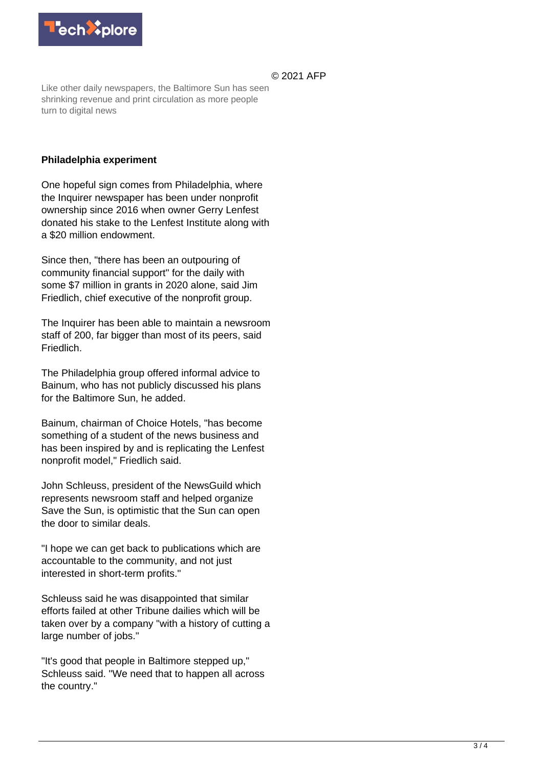

© 2021 AFP

Like other daily newspapers, the Baltimore Sun has seen shrinking revenue and print circulation as more people turn to digital news

## **Philadelphia experiment**

One hopeful sign comes from Philadelphia, where the Inquirer newspaper has been under nonprofit ownership since 2016 when owner Gerry Lenfest donated his stake to the Lenfest Institute along with a \$20 million endowment.

Since then, "there has been an outpouring of community financial support" for the daily with some \$7 million in grants in 2020 alone, said Jim Friedlich, chief executive of the nonprofit group.

The Inquirer has been able to maintain a newsroom staff of 200, far bigger than most of its peers, said Friedlich.

The Philadelphia group offered informal advice to Bainum, who has not publicly discussed his plans for the Baltimore Sun, he added.

Bainum, chairman of Choice Hotels, "has become something of a student of the news business and has been inspired by and is replicating the Lenfest nonprofit model," Friedlich said.

John Schleuss, president of the NewsGuild which represents newsroom staff and helped organize Save the Sun, is optimistic that the Sun can open the door to similar deals.

"I hope we can get back to publications which are accountable to the community, and not just interested in short-term profits."

Schleuss said he was disappointed that similar efforts failed at other Tribune dailies which will be taken over by a company "with a history of cutting a large number of jobs."

"It's good that people in Baltimore stepped up," Schleuss said. "We need that to happen all across the country."